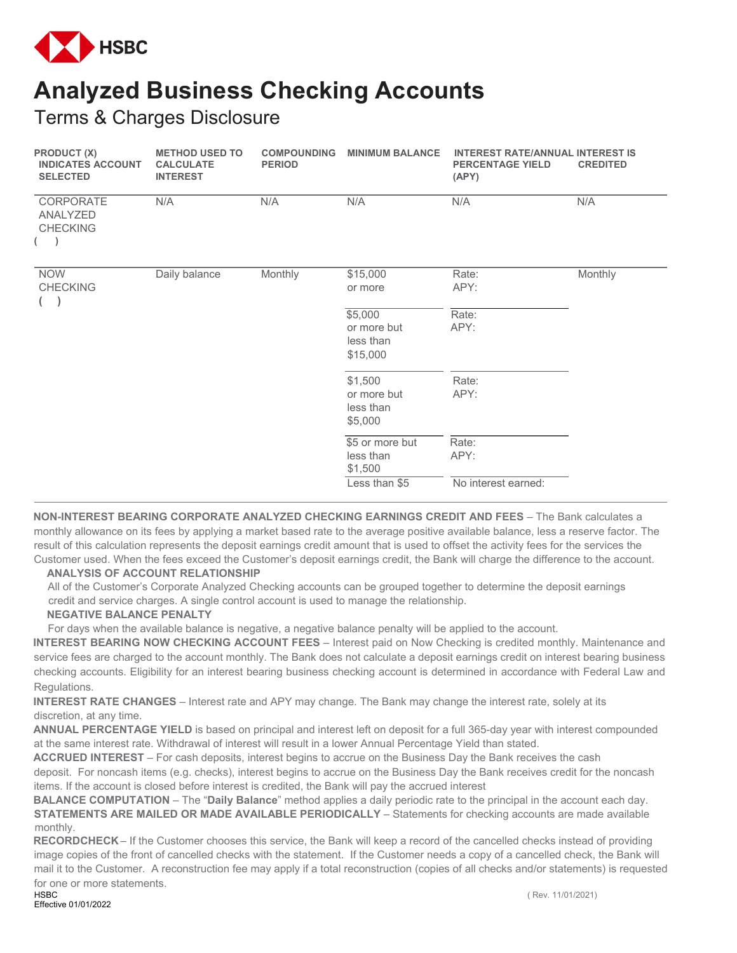

## **Analyzed Business Checking Accounts**

Terms & Charges Disclosure

| PRODUCT (X)<br><b>INDICATES ACCOUNT</b><br><b>SELECTED</b> | <b>METHOD USED TO</b><br><b>CALCULATE</b><br><b>INTEREST</b> | <b>COMPOUNDING</b><br><b>PERIOD</b> | <b>MINIMUM BALANCE</b> | <b>INTEREST RATE/ANNUAL INTEREST IS</b><br><b>PERCENTAGE YIELD</b><br>(APY) | <b>CREDITED</b> |
|------------------------------------------------------------|--------------------------------------------------------------|-------------------------------------|------------------------|-----------------------------------------------------------------------------|-----------------|
| CORPORATE<br>ANALYZED<br><b>CHECKING</b><br>$($ )          | N/A                                                          | N/A                                 | N/A                    | N/A                                                                         | N/A             |
| <b>NOW</b>                                                 | Daily balance                                                | Monthly                             | \$15,000               | Rate:                                                                       | Monthly         |
| <b>CHECKING</b><br>$\left($                                |                                                              |                                     | or more                | APY:                                                                        |                 |
|                                                            |                                                              |                                     | \$5,000                | Rate:                                                                       |                 |
|                                                            |                                                              |                                     | or more but            | APY:                                                                        |                 |
|                                                            |                                                              |                                     | less than              |                                                                             |                 |
|                                                            |                                                              |                                     | \$15,000               |                                                                             |                 |
|                                                            |                                                              |                                     | \$1,500                | Rate:                                                                       |                 |
|                                                            |                                                              |                                     | or more but            | APY:                                                                        |                 |
|                                                            |                                                              |                                     | less than              |                                                                             |                 |
|                                                            |                                                              |                                     | \$5,000                |                                                                             |                 |
|                                                            |                                                              |                                     | \$5 or more but        | Rate:                                                                       |                 |
|                                                            |                                                              |                                     | less than              | APY:                                                                        |                 |
|                                                            |                                                              |                                     | \$1,500                |                                                                             |                 |
|                                                            |                                                              |                                     | Less than \$5          | No interest earned:                                                         |                 |

**NON-INTEREST BEARING CORPORATE ANALYZED CHECKING EARNINGS CREDIT AND FEES** – The Bank calculates a monthly allowance on its fees by applying a market based rate to the average positive available balance, less a reserve factor. The result of this calculation represents the deposit earnings credit amount that is used to offset the activity fees for the services the Customer used. When the fees exceed the Customer's deposit earnings credit, the Bank will charge the difference to the account.

## **ANALYSIS OF ACCOUNT RELATIONSHIP**

All of the Customer's Corporate Analyzed Checking accounts can be grouped together to determine the deposit earnings credit and service charges. A single control account is used to manage the relationship.

## **NEGATIVE BALANCE PENALTY**

For days when the available balance is negative, a negative balance penalty will be applied to the account.

**INTEREST BEARING NOW CHECKING ACCOUNT FEES** – Interest paid on Now Checking is credited monthly. Maintenance and service fees are charged to the account monthly. The Bank does not calculate a deposit earnings credit on interest bearing business checking accounts. Eligibility for an interest bearing business checking account is determined in accordance with Federal Law and Regulations.

**INTEREST RATE CHANGES** – Interest rate and APY may change. The Bank may change the interest rate, solely at its discretion, at any time.

**ANNUAL PERCENTAGE YIELD** is based on principal and interest left on deposit for a full 365-day year with interest compounded at the same interest rate. Withdrawal of interest will result in a lower Annual Percentage Yield than stated.

**ACCRUED INTEREST** – For cash deposits, interest begins to accrue on the Business Day the Bank receives the cash deposit. For noncash items (e.g. checks), interest begins to accrue on the Business Day the Bank receives credit for the noncash items. If the account is closed before interest is credited, the Bank will pay the accrued interest

**BALANCE COMPUTATION** – The "**Daily Balance**" method applies a daily periodic rate to the principal in the account each day. **STATEMENTS ARE MAILED OR MADE AVAILABLE PERIODICALLY** - Statements for checking accounts are made available monthly.

**RECORDCHECK** – If the Customer chooses this service, the Bank will keep a record of the cancelled checks instead of providing image copies of the front of cancelled checks with the statement. If the Customer needs a copy of a cancelled check, the Bank will mail it to the Customer. A reconstruction fee may apply if a total reconstruction (copies of all checks and/or statements) is requested for one or more statements.